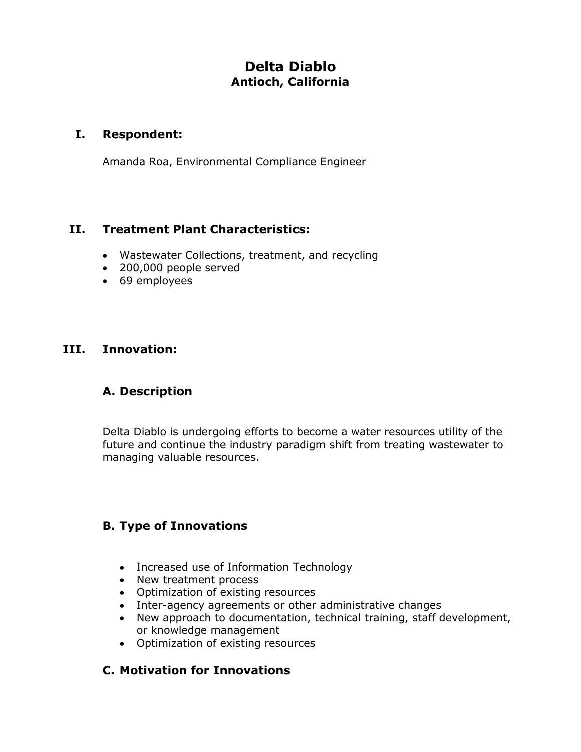# **Delta Diablo Antioch, California**

#### **I. Respondent:**

Amanda Roa, Environmental Compliance Engineer

# **II. Treatment Plant Characteristics:**

- Wastewater Collections, treatment, and recycling
- 200,000 people served
- 69 employees

#### **III. Innovation:**

## **A. Description**

Delta Diablo is undergoing efforts to become a water resources utility of the future and continue the industry paradigm shift from treating wastewater to managing valuable resources.

## **B. Type of Innovations**

- Increased use of Information Technology
- New treatment process
- Optimization of existing resources
- Inter-agency agreements or other administrative changes
- New approach to documentation, technical training, staff development, or knowledge management
- Optimization of existing resources

## **C. Motivation for Innovations**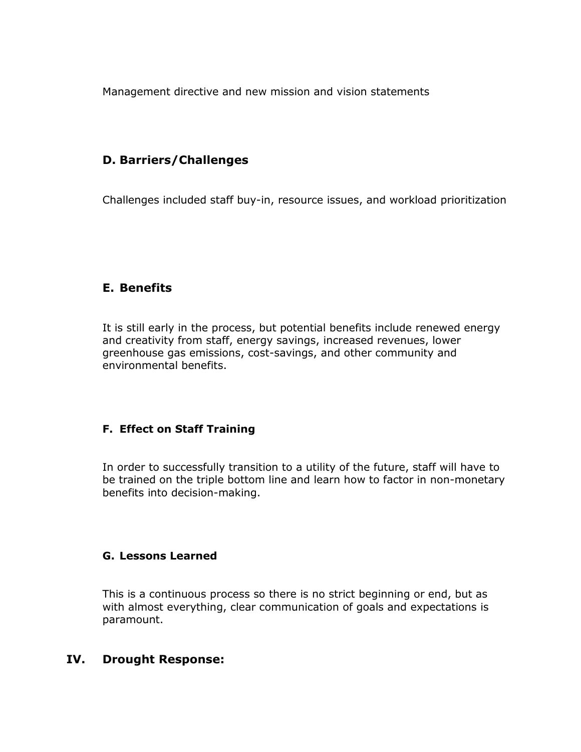Management directive and new mission and vision statements

## **D. Barriers/Challenges**

Challenges included staff buy-in, resource issues, and workload prioritization

## **E. Benefits**

It is still early in the process, but potential benefits include renewed energy and creativity from staff, energy savings, increased revenues, lower greenhouse gas emissions, cost-savings, and other community and environmental benefits.

#### **F. Effect on Staff Training**

In order to successfully transition to a utility of the future, staff will have to be trained on the triple bottom line and learn how to factor in non-monetary benefits into decision-making.

#### **G. Lessons Learned**

This is a continuous process so there is no strict beginning or end, but as with almost everything, clear communication of goals and expectations is paramount.

#### **IV. Drought Response:**